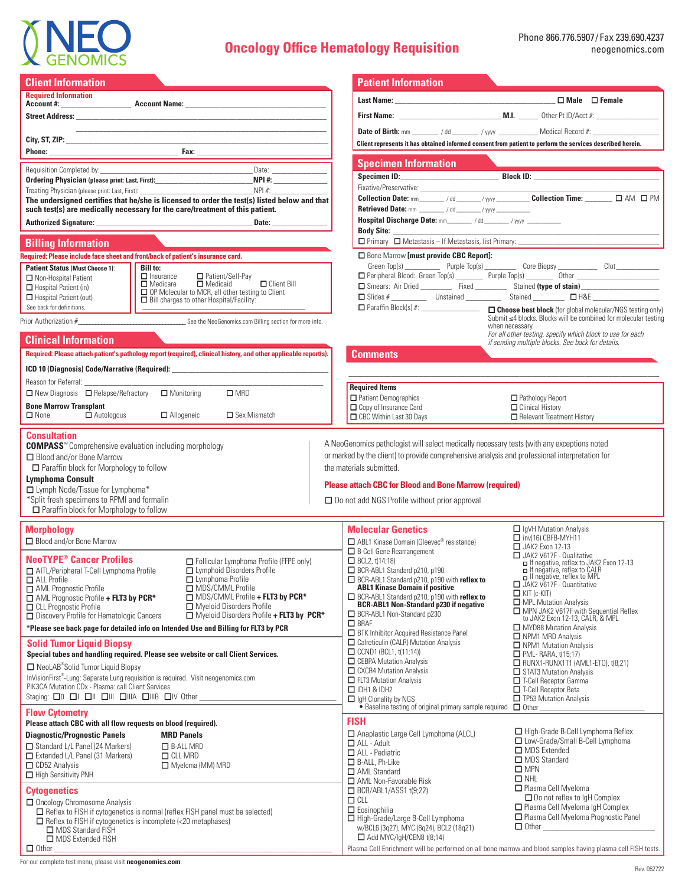

# **Oncology Office Hematology Requisition**

Ƒ AML Non-Favorable Risk Ƒ BCR/ABL1/ASS1 t(9;22)

□ High-Grade/Large B-Cell Lymphoma w/BCL6 (3q27), MYC (8q24), BCL2 (18q21) **□**Add MYC/IgH/CEN8 t(8;14)

 $\Box$  CLL Ƒ Eosinophilia

| <b>Client Information</b><br><b>Patient Information</b><br><b>Required Information</b><br><u> 1989 - Johann John Stone, mars and de final de la provincia de la provincia de la provincia de la provincia d</u><br>Client represents it has obtained informed consent from patient to perform the services described herein.<br><b>Specimen Information</b><br>Requisition Completed by:<br>Ordering Physician (please print: Last, First): 1988 1999 1999<br>$NPI$ #:<br>such test(s) are medically necessary for the care/treatment of this patient.<br><b>Retrieved Date: mm _______ / dd ______/ yyyy ____________</b><br>Hospital Discharge Date: mm_______ / dd_______ / yyyy __________<br>Date:<br><b>Billing Information</b><br>□ Bone Marrow [must provide CBC Report]:<br>Required: Please include face sheet and front/back of patient's insurance card.<br>Green Top(s) _____________ Purple Top(s) ____________ Core Biopsy ______________ Clot _____________<br><b>Bill to:</b><br><b>Patient Status (Must Choose 1):</b><br>$\Box$ Insurance<br>□ Patient/Self-Pay<br>□ Medicaid<br>Non-Hospital Patient<br>$\Box$ Client Bill<br>□ Medicare<br>$\Box$ Hospital Patient (in)<br>OP Molecular to MCR, all other testing to Client<br>$\square$ Bill charges to other Hospital/Facility:<br>□ Slides # _____________ Unstained _____________ Stained ___________ □ H&E ___________<br>Hospital Patient (out)<br>See back for definitions.<br>$\Box$ Paraffin Block(s) #: $\Box$ Choose best block (for global molecular/NGS testing only<br>Submit $\leq 4$ blocks. Blocks will be combined for molecular testing<br>Prior Authorization # See the NeoGenomics.com Billing section for more info.<br>when necessary.<br>For all other testing, specify which block to use for each<br><b>Clinical Information</b><br>if sending multiple blocks. See back for details.<br>Required: Please attach patient's pathology report (required), clinical history, and other applicable report(s).<br><b>Comments</b><br>ICD 10 (Diagnosis) Code/Narrative (Required): __________________________________<br>Reason for Referral:<br><b>Required Items</b><br>$\Box$ New Diagnosis $\Box$ Relapse/Refractory<br>$\Box$ Monitoring<br>$\square$ MRD<br>Patient Demographics<br>$\Box$ Pathology Report<br><b>Bone Marrow Transplant</b><br>Copy of Insurance Card<br>□ Clinical History<br>$\Box$ Autologous<br>$\Box$ Allogeneic<br>□ Sex Mismatch<br>$\Box$ None<br>CBC Within Last 30 Days<br>Relevant Treatment History<br><b>Consultation</b><br>A NeoGenomics pathologist will select medically necessary tests (with any exceptions noted<br><b>COMPASS</b> <sup>™</sup> Comprehensive evaluation including morphology<br>or marked by the client) to provide comprehensive analysis and professional interpretation for<br>□ Blood and/or Bone Marrow<br>Paraffin block for Morphology to follow<br>the materials submitted.<br><b>Lymphoma Consult</b><br><b>Please attach CBC for Blood and Bone Marrow (required)</b><br>□ Lymph Node/Tissue for Lymphoma*<br>*Split fresh specimens to RPMI and formalin<br>□ Do not add NGS Profile without prior approval<br>□ Paraffin block for Morphology to follow<br><b>Molecular Genetics</b><br>$\Box$ IgVH Mutation Analysis<br><b>Morphology</b><br>$\Box$ inv(16) CBFB-MYH11<br>□ Blood and/or Bone Marrow<br>ABL1 Kinase Domain (Gleevec <sup>®</sup> resistance)<br>JAK2 Exon 12-13<br>$\Box$ B-Cell Gene Rearrangement<br>JAK2 V617F - Qualitative<br><b>NeoTYPE<sup>®</sup> Cancer Profiles</b><br>Follicular Lymphoma Profile (FFPE only)<br>$\Box$ BCL2, t(14;18)<br>□ If negative, reflex to JAK2 Exon 12-13<br>$\Box$ Lymphoid Disorders Profile<br>BCR-ABL1 Standard p210, p190<br>If negative, reflex to CALR<br>AITL/Peripheral T-Cell Lymphoma Profile<br>$\Box$ Lymphoma Profile<br>□ BCR-ABL1 Standard p210, p190 with reflex to<br>ABL1 Kinase Domain if positive<br>$\Box$ ALL Profile<br>JAK2 V617F - Quantitative<br>MDS/CMML Profile<br>AML Prognostic Profile<br>$\Box$ KIT (c-KIT)<br>$\Box$ MDS/CMML Profile + FLT3 by PCR*<br>BCR-ABL1 Standard p210, p190 with reflex to<br>$\Box$ AML Prognostic Profile + FLT3 by PCR*<br>MPL Mutation Analysis<br><b>BCR-ABL1 Non-Standard p230 if negative</b><br>□ CLL Prognostic Profile<br>Myeloid Disorders Profile<br>MPN JAK2 V617F with Sequential Reflex<br>□ BCR-ABL1 Non-Standard p230<br>$\Box$ Myeloid Disorders Profile + FLT3 by PCR*<br>□ Discovery Profile for Hematologic Cancers<br>to JAK2 Exon 12-13, CALR, & MPL<br>$\Box$ BRAF<br>MYD88 Mutation Analysis<br>*Please see back page for detailed info on Intended Use and Billing for FLT3 by PCR<br><b>BTK</b> Inhibitor Acquired Resistance Panel<br>$\Box$ NPM1 MRD Analysis<br>Calreticulin (CALR) Mutation Analysis<br><b>Solid Tumor Liquid Biopsy</b><br>NPM1 Mutation Analysis<br>$\Box$ CCND1 (BCL1, t(11;14))<br>Special tubes and handling required. Please see website or call Client Services.<br>$\Box$ PML-RARA, t(15;17)<br>CEBPA Mutation Analysis<br>$\Box$ RUNX1-RUNX1T1 (AML1-ET0), t(8;21)<br>$\Box$ NeoLAB <sup>®</sup> Solid Tumor Liquid Biopsy<br>CXCR4 Mutation Analysis<br>STAT3 Mutation Analysis<br>InVisionFirst®-Lung: Separate Lung requisition is required. Visit neogenomics.com.<br>$\Box$ FLT3 Mutation Analysis<br>T-Cell Receptor Gamma<br>PIK3CA Mutation CDx - Plasma: call Client Services.<br>$\Box$ IDH1 & IDH2<br>T-Cell Receptor Beta<br>TP53 Mutation Analysis<br>$\Box$ IgH Clonality by NGS<br>• Baseline testing of original primary sample required<br>$\Box$ Other<br><b>Flow Cytometry</b><br><b>FISH</b><br>Please attach CBC with all flow requests on blood (required).<br>□ High-Grade B-Cell Lymphoma Reflex<br>Anaplastic Large Cell Lymphoma (ALCL)<br><b>Diagnostic/Prognostic Panels</b><br><b>MRD Panels</b><br>□ Low-Grade/Small B-Cell Lymphoma<br>$\Box$ ALL - Adult<br>Standard L/L Panel (24 Markers)<br>$B$ -ALL MRD<br>□ MDS Extended<br>ALL - Pediatric<br>Extended L/L Panel (31 Markers)<br>$\Box$ CLL MRD<br>MDS Standard<br>$\Box$ B-ALL, Ph-Like<br>$\Box$ CD52 Analysis<br>Myeloma (MM) MRD<br>$\square$ MPN<br>□ AML Standard | $\boldsymbol{\mathsf{X}}$ GENOMICS |            |
|----------------------------------------------------------------------------------------------------------------------------------------------------------------------------------------------------------------------------------------------------------------------------------------------------------------------------------------------------------------------------------------------------------------------------------------------------------------------------------------------------------------------------------------------------------------------------------------------------------------------------------------------------------------------------------------------------------------------------------------------------------------------------------------------------------------------------------------------------------------------------------------------------------------------------------------------------------------------------------------------------------------------------------------------------------------------------------------------------------------------------------------------------------------------------------------------------------------------------------------------------------------------------------------------------------------------------------------------------------------------------------------------------------------------------------------------------------------------------------------------------------------------------------------------------------------------------------------------------------------------------------------------------------------------------------------------------------------------------------------------------------------------------------------------------------------------------------------------------------------------------------------------------------------------------------------------------------------------------------------------------------------------------------------------------------------------------------------------------------------------------------------------------------------------------------------------------------------------------------------------------------------------------------------------------------------------------------------------------------------------------------------------------------------------------------------------------------------------------------------------------------------------------------------------------------------------------------------------------------------------------------------------------------------------------------------------------------------------------------------------------------------------------------------------------------------------------------------------------------------------------------------------------------------------------------------------------------------------------------------------------------------------------------------------------------------------------------------------------------------------------------------------------------------------------------------------------------------------------------------------------------------------------------------------------------------------------------------------------------------------------------------------------------------------------------------------------------------------------------------------------------------------------------------------------------------------------------------------------------------------------------------------------------------------------------------------------------------------------------------------------------------------------------------------------------------------------------------------------------------------------------------------------------------------------------------------------------------------------------------------------------------------------------------------------------------------------------------------------------------------------------------------------------------------------------------------------------------------------------------------------------------------------------------------------------------------------------------------------------------------------------------------------------------------------------------------------------------------------------------------------------------------------------------------------------------------------------------------------------------------------------------------------------------------------------------------------------------------------------------------------------------------------------------------------------------------------------------------------------------------------------------------------------------------------------------------------------------------------------------------------------------------------------------------------------------------------------------------------------------------------------------------------------------------------------------------------------------------------------------------------------------------------------------------------------------------------------------------------------------------------------------------------------------------------------------------------------------------------------------------------------------------------------------------------------------------------------------------------------------------------------------------------------------------------------------------------------------------------------------------------------------------------------------------------------------------------------------------------------------------------------------------------------------------------------------------------------------------------------------------------------------------------------------------------------------------------------------------------------------------------------------------------------------------------------------------------------|------------------------------------|------------|
|                                                                                                                                                                                                                                                                                                                                                                                                                                                                                                                                                                                                                                                                                                                                                                                                                                                                                                                                                                                                                                                                                                                                                                                                                                                                                                                                                                                                                                                                                                                                                                                                                                                                                                                                                                                                                                                                                                                                                                                                                                                                                                                                                                                                                                                                                                                                                                                                                                                                                                                                                                                                                                                                                                                                                                                                                                                                                                                                                                                                                                                                                                                                                                                                                                                                                                                                                                                                                                                                                                                                                                                                                                                                                                                                                                                                                                                                                                                                                                                                                                                                                                                                                                                                                                                                                                                                                                                                                                                                                                                                                                                                                                                                                                                                                                                                                                                                                                                                                                                                                                                                                                                                                                                                                                                                                                                                                                                                                                                                                                                                                                                                                                                                                                                                                                                                                                                                                                                                                                                                                                                                                                                                                                                                          |                                    |            |
|                                                                                                                                                                                                                                                                                                                                                                                                                                                                                                                                                                                                                                                                                                                                                                                                                                                                                                                                                                                                                                                                                                                                                                                                                                                                                                                                                                                                                                                                                                                                                                                                                                                                                                                                                                                                                                                                                                                                                                                                                                                                                                                                                                                                                                                                                                                                                                                                                                                                                                                                                                                                                                                                                                                                                                                                                                                                                                                                                                                                                                                                                                                                                                                                                                                                                                                                                                                                                                                                                                                                                                                                                                                                                                                                                                                                                                                                                                                                                                                                                                                                                                                                                                                                                                                                                                                                                                                                                                                                                                                                                                                                                                                                                                                                                                                                                                                                                                                                                                                                                                                                                                                                                                                                                                                                                                                                                                                                                                                                                                                                                                                                                                                                                                                                                                                                                                                                                                                                                                                                                                                                                                                                                                                                          |                                    |            |
|                                                                                                                                                                                                                                                                                                                                                                                                                                                                                                                                                                                                                                                                                                                                                                                                                                                                                                                                                                                                                                                                                                                                                                                                                                                                                                                                                                                                                                                                                                                                                                                                                                                                                                                                                                                                                                                                                                                                                                                                                                                                                                                                                                                                                                                                                                                                                                                                                                                                                                                                                                                                                                                                                                                                                                                                                                                                                                                                                                                                                                                                                                                                                                                                                                                                                                                                                                                                                                                                                                                                                                                                                                                                                                                                                                                                                                                                                                                                                                                                                                                                                                                                                                                                                                                                                                                                                                                                                                                                                                                                                                                                                                                                                                                                                                                                                                                                                                                                                                                                                                                                                                                                                                                                                                                                                                                                                                                                                                                                                                                                                                                                                                                                                                                                                                                                                                                                                                                                                                                                                                                                                                                                                                                                          |                                    |            |
|                                                                                                                                                                                                                                                                                                                                                                                                                                                                                                                                                                                                                                                                                                                                                                                                                                                                                                                                                                                                                                                                                                                                                                                                                                                                                                                                                                                                                                                                                                                                                                                                                                                                                                                                                                                                                                                                                                                                                                                                                                                                                                                                                                                                                                                                                                                                                                                                                                                                                                                                                                                                                                                                                                                                                                                                                                                                                                                                                                                                                                                                                                                                                                                                                                                                                                                                                                                                                                                                                                                                                                                                                                                                                                                                                                                                                                                                                                                                                                                                                                                                                                                                                                                                                                                                                                                                                                                                                                                                                                                                                                                                                                                                                                                                                                                                                                                                                                                                                                                                                                                                                                                                                                                                                                                                                                                                                                                                                                                                                                                                                                                                                                                                                                                                                                                                                                                                                                                                                                                                                                                                                                                                                                                                          |                                    |            |
|                                                                                                                                                                                                                                                                                                                                                                                                                                                                                                                                                                                                                                                                                                                                                                                                                                                                                                                                                                                                                                                                                                                                                                                                                                                                                                                                                                                                                                                                                                                                                                                                                                                                                                                                                                                                                                                                                                                                                                                                                                                                                                                                                                                                                                                                                                                                                                                                                                                                                                                                                                                                                                                                                                                                                                                                                                                                                                                                                                                                                                                                                                                                                                                                                                                                                                                                                                                                                                                                                                                                                                                                                                                                                                                                                                                                                                                                                                                                                                                                                                                                                                                                                                                                                                                                                                                                                                                                                                                                                                                                                                                                                                                                                                                                                                                                                                                                                                                                                                                                                                                                                                                                                                                                                                                                                                                                                                                                                                                                                                                                                                                                                                                                                                                                                                                                                                                                                                                                                                                                                                                                                                                                                                                                          |                                    |            |
|                                                                                                                                                                                                                                                                                                                                                                                                                                                                                                                                                                                                                                                                                                                                                                                                                                                                                                                                                                                                                                                                                                                                                                                                                                                                                                                                                                                                                                                                                                                                                                                                                                                                                                                                                                                                                                                                                                                                                                                                                                                                                                                                                                                                                                                                                                                                                                                                                                                                                                                                                                                                                                                                                                                                                                                                                                                                                                                                                                                                                                                                                                                                                                                                                                                                                                                                                                                                                                                                                                                                                                                                                                                                                                                                                                                                                                                                                                                                                                                                                                                                                                                                                                                                                                                                                                                                                                                                                                                                                                                                                                                                                                                                                                                                                                                                                                                                                                                                                                                                                                                                                                                                                                                                                                                                                                                                                                                                                                                                                                                                                                                                                                                                                                                                                                                                                                                                                                                                                                                                                                                                                                                                                                                                          |                                    |            |
|                                                                                                                                                                                                                                                                                                                                                                                                                                                                                                                                                                                                                                                                                                                                                                                                                                                                                                                                                                                                                                                                                                                                                                                                                                                                                                                                                                                                                                                                                                                                                                                                                                                                                                                                                                                                                                                                                                                                                                                                                                                                                                                                                                                                                                                                                                                                                                                                                                                                                                                                                                                                                                                                                                                                                                                                                                                                                                                                                                                                                                                                                                                                                                                                                                                                                                                                                                                                                                                                                                                                                                                                                                                                                                                                                                                                                                                                                                                                                                                                                                                                                                                                                                                                                                                                                                                                                                                                                                                                                                                                                                                                                                                                                                                                                                                                                                                                                                                                                                                                                                                                                                                                                                                                                                                                                                                                                                                                                                                                                                                                                                                                                                                                                                                                                                                                                                                                                                                                                                                                                                                                                                                                                                                                          |                                    |            |
|                                                                                                                                                                                                                                                                                                                                                                                                                                                                                                                                                                                                                                                                                                                                                                                                                                                                                                                                                                                                                                                                                                                                                                                                                                                                                                                                                                                                                                                                                                                                                                                                                                                                                                                                                                                                                                                                                                                                                                                                                                                                                                                                                                                                                                                                                                                                                                                                                                                                                                                                                                                                                                                                                                                                                                                                                                                                                                                                                                                                                                                                                                                                                                                                                                                                                                                                                                                                                                                                                                                                                                                                                                                                                                                                                                                                                                                                                                                                                                                                                                                                                                                                                                                                                                                                                                                                                                                                                                                                                                                                                                                                                                                                                                                                                                                                                                                                                                                                                                                                                                                                                                                                                                                                                                                                                                                                                                                                                                                                                                                                                                                                                                                                                                                                                                                                                                                                                                                                                                                                                                                                                                                                                                                                          |                                    |            |
|                                                                                                                                                                                                                                                                                                                                                                                                                                                                                                                                                                                                                                                                                                                                                                                                                                                                                                                                                                                                                                                                                                                                                                                                                                                                                                                                                                                                                                                                                                                                                                                                                                                                                                                                                                                                                                                                                                                                                                                                                                                                                                                                                                                                                                                                                                                                                                                                                                                                                                                                                                                                                                                                                                                                                                                                                                                                                                                                                                                                                                                                                                                                                                                                                                                                                                                                                                                                                                                                                                                                                                                                                                                                                                                                                                                                                                                                                                                                                                                                                                                                                                                                                                                                                                                                                                                                                                                                                                                                                                                                                                                                                                                                                                                                                                                                                                                                                                                                                                                                                                                                                                                                                                                                                                                                                                                                                                                                                                                                                                                                                                                                                                                                                                                                                                                                                                                                                                                                                                                                                                                                                                                                                                                                          |                                    |            |
|                                                                                                                                                                                                                                                                                                                                                                                                                                                                                                                                                                                                                                                                                                                                                                                                                                                                                                                                                                                                                                                                                                                                                                                                                                                                                                                                                                                                                                                                                                                                                                                                                                                                                                                                                                                                                                                                                                                                                                                                                                                                                                                                                                                                                                                                                                                                                                                                                                                                                                                                                                                                                                                                                                                                                                                                                                                                                                                                                                                                                                                                                                                                                                                                                                                                                                                                                                                                                                                                                                                                                                                                                                                                                                                                                                                                                                                                                                                                                                                                                                                                                                                                                                                                                                                                                                                                                                                                                                                                                                                                                                                                                                                                                                                                                                                                                                                                                                                                                                                                                                                                                                                                                                                                                                                                                                                                                                                                                                                                                                                                                                                                                                                                                                                                                                                                                                                                                                                                                                                                                                                                                                                                                                                                          |                                    |            |
|                                                                                                                                                                                                                                                                                                                                                                                                                                                                                                                                                                                                                                                                                                                                                                                                                                                                                                                                                                                                                                                                                                                                                                                                                                                                                                                                                                                                                                                                                                                                                                                                                                                                                                                                                                                                                                                                                                                                                                                                                                                                                                                                                                                                                                                                                                                                                                                                                                                                                                                                                                                                                                                                                                                                                                                                                                                                                                                                                                                                                                                                                                                                                                                                                                                                                                                                                                                                                                                                                                                                                                                                                                                                                                                                                                                                                                                                                                                                                                                                                                                                                                                                                                                                                                                                                                                                                                                                                                                                                                                                                                                                                                                                                                                                                                                                                                                                                                                                                                                                                                                                                                                                                                                                                                                                                                                                                                                                                                                                                                                                                                                                                                                                                                                                                                                                                                                                                                                                                                                                                                                                                                                                                                                                          |                                    |            |
|                                                                                                                                                                                                                                                                                                                                                                                                                                                                                                                                                                                                                                                                                                                                                                                                                                                                                                                                                                                                                                                                                                                                                                                                                                                                                                                                                                                                                                                                                                                                                                                                                                                                                                                                                                                                                                                                                                                                                                                                                                                                                                                                                                                                                                                                                                                                                                                                                                                                                                                                                                                                                                                                                                                                                                                                                                                                                                                                                                                                                                                                                                                                                                                                                                                                                                                                                                                                                                                                                                                                                                                                                                                                                                                                                                                                                                                                                                                                                                                                                                                                                                                                                                                                                                                                                                                                                                                                                                                                                                                                                                                                                                                                                                                                                                                                                                                                                                                                                                                                                                                                                                                                                                                                                                                                                                                                                                                                                                                                                                                                                                                                                                                                                                                                                                                                                                                                                                                                                                                                                                                                                                                                                                                                          |                                    |            |
|                                                                                                                                                                                                                                                                                                                                                                                                                                                                                                                                                                                                                                                                                                                                                                                                                                                                                                                                                                                                                                                                                                                                                                                                                                                                                                                                                                                                                                                                                                                                                                                                                                                                                                                                                                                                                                                                                                                                                                                                                                                                                                                                                                                                                                                                                                                                                                                                                                                                                                                                                                                                                                                                                                                                                                                                                                                                                                                                                                                                                                                                                                                                                                                                                                                                                                                                                                                                                                                                                                                                                                                                                                                                                                                                                                                                                                                                                                                                                                                                                                                                                                                                                                                                                                                                                                                                                                                                                                                                                                                                                                                                                                                                                                                                                                                                                                                                                                                                                                                                                                                                                                                                                                                                                                                                                                                                                                                                                                                                                                                                                                                                                                                                                                                                                                                                                                                                                                                                                                                                                                                                                                                                                                                                          |                                    |            |
|                                                                                                                                                                                                                                                                                                                                                                                                                                                                                                                                                                                                                                                                                                                                                                                                                                                                                                                                                                                                                                                                                                                                                                                                                                                                                                                                                                                                                                                                                                                                                                                                                                                                                                                                                                                                                                                                                                                                                                                                                                                                                                                                                                                                                                                                                                                                                                                                                                                                                                                                                                                                                                                                                                                                                                                                                                                                                                                                                                                                                                                                                                                                                                                                                                                                                                                                                                                                                                                                                                                                                                                                                                                                                                                                                                                                                                                                                                                                                                                                                                                                                                                                                                                                                                                                                                                                                                                                                                                                                                                                                                                                                                                                                                                                                                                                                                                                                                                                                                                                                                                                                                                                                                                                                                                                                                                                                                                                                                                                                                                                                                                                                                                                                                                                                                                                                                                                                                                                                                                                                                                                                                                                                                                                          |                                    |            |
|                                                                                                                                                                                                                                                                                                                                                                                                                                                                                                                                                                                                                                                                                                                                                                                                                                                                                                                                                                                                                                                                                                                                                                                                                                                                                                                                                                                                                                                                                                                                                                                                                                                                                                                                                                                                                                                                                                                                                                                                                                                                                                                                                                                                                                                                                                                                                                                                                                                                                                                                                                                                                                                                                                                                                                                                                                                                                                                                                                                                                                                                                                                                                                                                                                                                                                                                                                                                                                                                                                                                                                                                                                                                                                                                                                                                                                                                                                                                                                                                                                                                                                                                                                                                                                                                                                                                                                                                                                                                                                                                                                                                                                                                                                                                                                                                                                                                                                                                                                                                                                                                                                                                                                                                                                                                                                                                                                                                                                                                                                                                                                                                                                                                                                                                                                                                                                                                                                                                                                                                                                                                                                                                                                                                          |                                    |            |
|                                                                                                                                                                                                                                                                                                                                                                                                                                                                                                                                                                                                                                                                                                                                                                                                                                                                                                                                                                                                                                                                                                                                                                                                                                                                                                                                                                                                                                                                                                                                                                                                                                                                                                                                                                                                                                                                                                                                                                                                                                                                                                                                                                                                                                                                                                                                                                                                                                                                                                                                                                                                                                                                                                                                                                                                                                                                                                                                                                                                                                                                                                                                                                                                                                                                                                                                                                                                                                                                                                                                                                                                                                                                                                                                                                                                                                                                                                                                                                                                                                                                                                                                                                                                                                                                                                                                                                                                                                                                                                                                                                                                                                                                                                                                                                                                                                                                                                                                                                                                                                                                                                                                                                                                                                                                                                                                                                                                                                                                                                                                                                                                                                                                                                                                                                                                                                                                                                                                                                                                                                                                                                                                                                                                          |                                    |            |
|                                                                                                                                                                                                                                                                                                                                                                                                                                                                                                                                                                                                                                                                                                                                                                                                                                                                                                                                                                                                                                                                                                                                                                                                                                                                                                                                                                                                                                                                                                                                                                                                                                                                                                                                                                                                                                                                                                                                                                                                                                                                                                                                                                                                                                                                                                                                                                                                                                                                                                                                                                                                                                                                                                                                                                                                                                                                                                                                                                                                                                                                                                                                                                                                                                                                                                                                                                                                                                                                                                                                                                                                                                                                                                                                                                                                                                                                                                                                                                                                                                                                                                                                                                                                                                                                                                                                                                                                                                                                                                                                                                                                                                                                                                                                                                                                                                                                                                                                                                                                                                                                                                                                                                                                                                                                                                                                                                                                                                                                                                                                                                                                                                                                                                                                                                                                                                                                                                                                                                                                                                                                                                                                                                                                          |                                    |            |
|                                                                                                                                                                                                                                                                                                                                                                                                                                                                                                                                                                                                                                                                                                                                                                                                                                                                                                                                                                                                                                                                                                                                                                                                                                                                                                                                                                                                                                                                                                                                                                                                                                                                                                                                                                                                                                                                                                                                                                                                                                                                                                                                                                                                                                                                                                                                                                                                                                                                                                                                                                                                                                                                                                                                                                                                                                                                                                                                                                                                                                                                                                                                                                                                                                                                                                                                                                                                                                                                                                                                                                                                                                                                                                                                                                                                                                                                                                                                                                                                                                                                                                                                                                                                                                                                                                                                                                                                                                                                                                                                                                                                                                                                                                                                                                                                                                                                                                                                                                                                                                                                                                                                                                                                                                                                                                                                                                                                                                                                                                                                                                                                                                                                                                                                                                                                                                                                                                                                                                                                                                                                                                                                                                                                          |                                    |            |
|                                                                                                                                                                                                                                                                                                                                                                                                                                                                                                                                                                                                                                                                                                                                                                                                                                                                                                                                                                                                                                                                                                                                                                                                                                                                                                                                                                                                                                                                                                                                                                                                                                                                                                                                                                                                                                                                                                                                                                                                                                                                                                                                                                                                                                                                                                                                                                                                                                                                                                                                                                                                                                                                                                                                                                                                                                                                                                                                                                                                                                                                                                                                                                                                                                                                                                                                                                                                                                                                                                                                                                                                                                                                                                                                                                                                                                                                                                                                                                                                                                                                                                                                                                                                                                                                                                                                                                                                                                                                                                                                                                                                                                                                                                                                                                                                                                                                                                                                                                                                                                                                                                                                                                                                                                                                                                                                                                                                                                                                                                                                                                                                                                                                                                                                                                                                                                                                                                                                                                                                                                                                                                                                                                                                          |                                    |            |
|                                                                                                                                                                                                                                                                                                                                                                                                                                                                                                                                                                                                                                                                                                                                                                                                                                                                                                                                                                                                                                                                                                                                                                                                                                                                                                                                                                                                                                                                                                                                                                                                                                                                                                                                                                                                                                                                                                                                                                                                                                                                                                                                                                                                                                                                                                                                                                                                                                                                                                                                                                                                                                                                                                                                                                                                                                                                                                                                                                                                                                                                                                                                                                                                                                                                                                                                                                                                                                                                                                                                                                                                                                                                                                                                                                                                                                                                                                                                                                                                                                                                                                                                                                                                                                                                                                                                                                                                                                                                                                                                                                                                                                                                                                                                                                                                                                                                                                                                                                                                                                                                                                                                                                                                                                                                                                                                                                                                                                                                                                                                                                                                                                                                                                                                                                                                                                                                                                                                                                                                                                                                                                                                                                                                          |                                    |            |
|                                                                                                                                                                                                                                                                                                                                                                                                                                                                                                                                                                                                                                                                                                                                                                                                                                                                                                                                                                                                                                                                                                                                                                                                                                                                                                                                                                                                                                                                                                                                                                                                                                                                                                                                                                                                                                                                                                                                                                                                                                                                                                                                                                                                                                                                                                                                                                                                                                                                                                                                                                                                                                                                                                                                                                                                                                                                                                                                                                                                                                                                                                                                                                                                                                                                                                                                                                                                                                                                                                                                                                                                                                                                                                                                                                                                                                                                                                                                                                                                                                                                                                                                                                                                                                                                                                                                                                                                                                                                                                                                                                                                                                                                                                                                                                                                                                                                                                                                                                                                                                                                                                                                                                                                                                                                                                                                                                                                                                                                                                                                                                                                                                                                                                                                                                                                                                                                                                                                                                                                                                                                                                                                                                                                          |                                    |            |
|                                                                                                                                                                                                                                                                                                                                                                                                                                                                                                                                                                                                                                                                                                                                                                                                                                                                                                                                                                                                                                                                                                                                                                                                                                                                                                                                                                                                                                                                                                                                                                                                                                                                                                                                                                                                                                                                                                                                                                                                                                                                                                                                                                                                                                                                                                                                                                                                                                                                                                                                                                                                                                                                                                                                                                                                                                                                                                                                                                                                                                                                                                                                                                                                                                                                                                                                                                                                                                                                                                                                                                                                                                                                                                                                                                                                                                                                                                                                                                                                                                                                                                                                                                                                                                                                                                                                                                                                                                                                                                                                                                                                                                                                                                                                                                                                                                                                                                                                                                                                                                                                                                                                                                                                                                                                                                                                                                                                                                                                                                                                                                                                                                                                                                                                                                                                                                                                                                                                                                                                                                                                                                                                                                                                          |                                    |            |
|                                                                                                                                                                                                                                                                                                                                                                                                                                                                                                                                                                                                                                                                                                                                                                                                                                                                                                                                                                                                                                                                                                                                                                                                                                                                                                                                                                                                                                                                                                                                                                                                                                                                                                                                                                                                                                                                                                                                                                                                                                                                                                                                                                                                                                                                                                                                                                                                                                                                                                                                                                                                                                                                                                                                                                                                                                                                                                                                                                                                                                                                                                                                                                                                                                                                                                                                                                                                                                                                                                                                                                                                                                                                                                                                                                                                                                                                                                                                                                                                                                                                                                                                                                                                                                                                                                                                                                                                                                                                                                                                                                                                                                                                                                                                                                                                                                                                                                                                                                                                                                                                                                                                                                                                                                                                                                                                                                                                                                                                                                                                                                                                                                                                                                                                                                                                                                                                                                                                                                                                                                                                                                                                                                                                          |                                    |            |
|                                                                                                                                                                                                                                                                                                                                                                                                                                                                                                                                                                                                                                                                                                                                                                                                                                                                                                                                                                                                                                                                                                                                                                                                                                                                                                                                                                                                                                                                                                                                                                                                                                                                                                                                                                                                                                                                                                                                                                                                                                                                                                                                                                                                                                                                                                                                                                                                                                                                                                                                                                                                                                                                                                                                                                                                                                                                                                                                                                                                                                                                                                                                                                                                                                                                                                                                                                                                                                                                                                                                                                                                                                                                                                                                                                                                                                                                                                                                                                                                                                                                                                                                                                                                                                                                                                                                                                                                                                                                                                                                                                                                                                                                                                                                                                                                                                                                                                                                                                                                                                                                                                                                                                                                                                                                                                                                                                                                                                                                                                                                                                                                                                                                                                                                                                                                                                                                                                                                                                                                                                                                                                                                                                                                          |                                    |            |
|                                                                                                                                                                                                                                                                                                                                                                                                                                                                                                                                                                                                                                                                                                                                                                                                                                                                                                                                                                                                                                                                                                                                                                                                                                                                                                                                                                                                                                                                                                                                                                                                                                                                                                                                                                                                                                                                                                                                                                                                                                                                                                                                                                                                                                                                                                                                                                                                                                                                                                                                                                                                                                                                                                                                                                                                                                                                                                                                                                                                                                                                                                                                                                                                                                                                                                                                                                                                                                                                                                                                                                                                                                                                                                                                                                                                                                                                                                                                                                                                                                                                                                                                                                                                                                                                                                                                                                                                                                                                                                                                                                                                                                                                                                                                                                                                                                                                                                                                                                                                                                                                                                                                                                                                                                                                                                                                                                                                                                                                                                                                                                                                                                                                                                                                                                                                                                                                                                                                                                                                                                                                                                                                                                                                          |                                    |            |
|                                                                                                                                                                                                                                                                                                                                                                                                                                                                                                                                                                                                                                                                                                                                                                                                                                                                                                                                                                                                                                                                                                                                                                                                                                                                                                                                                                                                                                                                                                                                                                                                                                                                                                                                                                                                                                                                                                                                                                                                                                                                                                                                                                                                                                                                                                                                                                                                                                                                                                                                                                                                                                                                                                                                                                                                                                                                                                                                                                                                                                                                                                                                                                                                                                                                                                                                                                                                                                                                                                                                                                                                                                                                                                                                                                                                                                                                                                                                                                                                                                                                                                                                                                                                                                                                                                                                                                                                                                                                                                                                                                                                                                                                                                                                                                                                                                                                                                                                                                                                                                                                                                                                                                                                                                                                                                                                                                                                                                                                                                                                                                                                                                                                                                                                                                                                                                                                                                                                                                                                                                                                                                                                                                                                          |                                    |            |
|                                                                                                                                                                                                                                                                                                                                                                                                                                                                                                                                                                                                                                                                                                                                                                                                                                                                                                                                                                                                                                                                                                                                                                                                                                                                                                                                                                                                                                                                                                                                                                                                                                                                                                                                                                                                                                                                                                                                                                                                                                                                                                                                                                                                                                                                                                                                                                                                                                                                                                                                                                                                                                                                                                                                                                                                                                                                                                                                                                                                                                                                                                                                                                                                                                                                                                                                                                                                                                                                                                                                                                                                                                                                                                                                                                                                                                                                                                                                                                                                                                                                                                                                                                                                                                                                                                                                                                                                                                                                                                                                                                                                                                                                                                                                                                                                                                                                                                                                                                                                                                                                                                                                                                                                                                                                                                                                                                                                                                                                                                                                                                                                                                                                                                                                                                                                                                                                                                                                                                                                                                                                                                                                                                                                          |                                    |            |
|                                                                                                                                                                                                                                                                                                                                                                                                                                                                                                                                                                                                                                                                                                                                                                                                                                                                                                                                                                                                                                                                                                                                                                                                                                                                                                                                                                                                                                                                                                                                                                                                                                                                                                                                                                                                                                                                                                                                                                                                                                                                                                                                                                                                                                                                                                                                                                                                                                                                                                                                                                                                                                                                                                                                                                                                                                                                                                                                                                                                                                                                                                                                                                                                                                                                                                                                                                                                                                                                                                                                                                                                                                                                                                                                                                                                                                                                                                                                                                                                                                                                                                                                                                                                                                                                                                                                                                                                                                                                                                                                                                                                                                                                                                                                                                                                                                                                                                                                                                                                                                                                                                                                                                                                                                                                                                                                                                                                                                                                                                                                                                                                                                                                                                                                                                                                                                                                                                                                                                                                                                                                                                                                                                                                          |                                    |            |
|                                                                                                                                                                                                                                                                                                                                                                                                                                                                                                                                                                                                                                                                                                                                                                                                                                                                                                                                                                                                                                                                                                                                                                                                                                                                                                                                                                                                                                                                                                                                                                                                                                                                                                                                                                                                                                                                                                                                                                                                                                                                                                                                                                                                                                                                                                                                                                                                                                                                                                                                                                                                                                                                                                                                                                                                                                                                                                                                                                                                                                                                                                                                                                                                                                                                                                                                                                                                                                                                                                                                                                                                                                                                                                                                                                                                                                                                                                                                                                                                                                                                                                                                                                                                                                                                                                                                                                                                                                                                                                                                                                                                                                                                                                                                                                                                                                                                                                                                                                                                                                                                                                                                                                                                                                                                                                                                                                                                                                                                                                                                                                                                                                                                                                                                                                                                                                                                                                                                                                                                                                                                                                                                                                                                          |                                    |            |
|                                                                                                                                                                                                                                                                                                                                                                                                                                                                                                                                                                                                                                                                                                                                                                                                                                                                                                                                                                                                                                                                                                                                                                                                                                                                                                                                                                                                                                                                                                                                                                                                                                                                                                                                                                                                                                                                                                                                                                                                                                                                                                                                                                                                                                                                                                                                                                                                                                                                                                                                                                                                                                                                                                                                                                                                                                                                                                                                                                                                                                                                                                                                                                                                                                                                                                                                                                                                                                                                                                                                                                                                                                                                                                                                                                                                                                                                                                                                                                                                                                                                                                                                                                                                                                                                                                                                                                                                                                                                                                                                                                                                                                                                                                                                                                                                                                                                                                                                                                                                                                                                                                                                                                                                                                                                                                                                                                                                                                                                                                                                                                                                                                                                                                                                                                                                                                                                                                                                                                                                                                                                                                                                                                                                          |                                    |            |
|                                                                                                                                                                                                                                                                                                                                                                                                                                                                                                                                                                                                                                                                                                                                                                                                                                                                                                                                                                                                                                                                                                                                                                                                                                                                                                                                                                                                                                                                                                                                                                                                                                                                                                                                                                                                                                                                                                                                                                                                                                                                                                                                                                                                                                                                                                                                                                                                                                                                                                                                                                                                                                                                                                                                                                                                                                                                                                                                                                                                                                                                                                                                                                                                                                                                                                                                                                                                                                                                                                                                                                                                                                                                                                                                                                                                                                                                                                                                                                                                                                                                                                                                                                                                                                                                                                                                                                                                                                                                                                                                                                                                                                                                                                                                                                                                                                                                                                                                                                                                                                                                                                                                                                                                                                                                                                                                                                                                                                                                                                                                                                                                                                                                                                                                                                                                                                                                                                                                                                                                                                                                                                                                                                                                          |                                    |            |
|                                                                                                                                                                                                                                                                                                                                                                                                                                                                                                                                                                                                                                                                                                                                                                                                                                                                                                                                                                                                                                                                                                                                                                                                                                                                                                                                                                                                                                                                                                                                                                                                                                                                                                                                                                                                                                                                                                                                                                                                                                                                                                                                                                                                                                                                                                                                                                                                                                                                                                                                                                                                                                                                                                                                                                                                                                                                                                                                                                                                                                                                                                                                                                                                                                                                                                                                                                                                                                                                                                                                                                                                                                                                                                                                                                                                                                                                                                                                                                                                                                                                                                                                                                                                                                                                                                                                                                                                                                                                                                                                                                                                                                                                                                                                                                                                                                                                                                                                                                                                                                                                                                                                                                                                                                                                                                                                                                                                                                                                                                                                                                                                                                                                                                                                                                                                                                                                                                                                                                                                                                                                                                                                                                                                          |                                    |            |
|                                                                                                                                                                                                                                                                                                                                                                                                                                                                                                                                                                                                                                                                                                                                                                                                                                                                                                                                                                                                                                                                                                                                                                                                                                                                                                                                                                                                                                                                                                                                                                                                                                                                                                                                                                                                                                                                                                                                                                                                                                                                                                                                                                                                                                                                                                                                                                                                                                                                                                                                                                                                                                                                                                                                                                                                                                                                                                                                                                                                                                                                                                                                                                                                                                                                                                                                                                                                                                                                                                                                                                                                                                                                                                                                                                                                                                                                                                                                                                                                                                                                                                                                                                                                                                                                                                                                                                                                                                                                                                                                                                                                                                                                                                                                                                                                                                                                                                                                                                                                                                                                                                                                                                                                                                                                                                                                                                                                                                                                                                                                                                                                                                                                                                                                                                                                                                                                                                                                                                                                                                                                                                                                                                                                          |                                    |            |
|                                                                                                                                                                                                                                                                                                                                                                                                                                                                                                                                                                                                                                                                                                                                                                                                                                                                                                                                                                                                                                                                                                                                                                                                                                                                                                                                                                                                                                                                                                                                                                                                                                                                                                                                                                                                                                                                                                                                                                                                                                                                                                                                                                                                                                                                                                                                                                                                                                                                                                                                                                                                                                                                                                                                                                                                                                                                                                                                                                                                                                                                                                                                                                                                                                                                                                                                                                                                                                                                                                                                                                                                                                                                                                                                                                                                                                                                                                                                                                                                                                                                                                                                                                                                                                                                                                                                                                                                                                                                                                                                                                                                                                                                                                                                                                                                                                                                                                                                                                                                                                                                                                                                                                                                                                                                                                                                                                                                                                                                                                                                                                                                                                                                                                                                                                                                                                                                                                                                                                                                                                                                                                                                                                                                          |                                    |            |
|                                                                                                                                                                                                                                                                                                                                                                                                                                                                                                                                                                                                                                                                                                                                                                                                                                                                                                                                                                                                                                                                                                                                                                                                                                                                                                                                                                                                                                                                                                                                                                                                                                                                                                                                                                                                                                                                                                                                                                                                                                                                                                                                                                                                                                                                                                                                                                                                                                                                                                                                                                                                                                                                                                                                                                                                                                                                                                                                                                                                                                                                                                                                                                                                                                                                                                                                                                                                                                                                                                                                                                                                                                                                                                                                                                                                                                                                                                                                                                                                                                                                                                                                                                                                                                                                                                                                                                                                                                                                                                                                                                                                                                                                                                                                                                                                                                                                                                                                                                                                                                                                                                                                                                                                                                                                                                                                                                                                                                                                                                                                                                                                                                                                                                                                                                                                                                                                                                                                                                                                                                                                                                                                                                                                          |                                    |            |
|                                                                                                                                                                                                                                                                                                                                                                                                                                                                                                                                                                                                                                                                                                                                                                                                                                                                                                                                                                                                                                                                                                                                                                                                                                                                                                                                                                                                                                                                                                                                                                                                                                                                                                                                                                                                                                                                                                                                                                                                                                                                                                                                                                                                                                                                                                                                                                                                                                                                                                                                                                                                                                                                                                                                                                                                                                                                                                                                                                                                                                                                                                                                                                                                                                                                                                                                                                                                                                                                                                                                                                                                                                                                                                                                                                                                                                                                                                                                                                                                                                                                                                                                                                                                                                                                                                                                                                                                                                                                                                                                                                                                                                                                                                                                                                                                                                                                                                                                                                                                                                                                                                                                                                                                                                                                                                                                                                                                                                                                                                                                                                                                                                                                                                                                                                                                                                                                                                                                                                                                                                                                                                                                                                                                          |                                    |            |
|                                                                                                                                                                                                                                                                                                                                                                                                                                                                                                                                                                                                                                                                                                                                                                                                                                                                                                                                                                                                                                                                                                                                                                                                                                                                                                                                                                                                                                                                                                                                                                                                                                                                                                                                                                                                                                                                                                                                                                                                                                                                                                                                                                                                                                                                                                                                                                                                                                                                                                                                                                                                                                                                                                                                                                                                                                                                                                                                                                                                                                                                                                                                                                                                                                                                                                                                                                                                                                                                                                                                                                                                                                                                                                                                                                                                                                                                                                                                                                                                                                                                                                                                                                                                                                                                                                                                                                                                                                                                                                                                                                                                                                                                                                                                                                                                                                                                                                                                                                                                                                                                                                                                                                                                                                                                                                                                                                                                                                                                                                                                                                                                                                                                                                                                                                                                                                                                                                                                                                                                                                                                                                                                                                                                          |                                    |            |
|                                                                                                                                                                                                                                                                                                                                                                                                                                                                                                                                                                                                                                                                                                                                                                                                                                                                                                                                                                                                                                                                                                                                                                                                                                                                                                                                                                                                                                                                                                                                                                                                                                                                                                                                                                                                                                                                                                                                                                                                                                                                                                                                                                                                                                                                                                                                                                                                                                                                                                                                                                                                                                                                                                                                                                                                                                                                                                                                                                                                                                                                                                                                                                                                                                                                                                                                                                                                                                                                                                                                                                                                                                                                                                                                                                                                                                                                                                                                                                                                                                                                                                                                                                                                                                                                                                                                                                                                                                                                                                                                                                                                                                                                                                                                                                                                                                                                                                                                                                                                                                                                                                                                                                                                                                                                                                                                                                                                                                                                                                                                                                                                                                                                                                                                                                                                                                                                                                                                                                                                                                                                                                                                                                                                          |                                    |            |
|                                                                                                                                                                                                                                                                                                                                                                                                                                                                                                                                                                                                                                                                                                                                                                                                                                                                                                                                                                                                                                                                                                                                                                                                                                                                                                                                                                                                                                                                                                                                                                                                                                                                                                                                                                                                                                                                                                                                                                                                                                                                                                                                                                                                                                                                                                                                                                                                                                                                                                                                                                                                                                                                                                                                                                                                                                                                                                                                                                                                                                                                                                                                                                                                                                                                                                                                                                                                                                                                                                                                                                                                                                                                                                                                                                                                                                                                                                                                                                                                                                                                                                                                                                                                                                                                                                                                                                                                                                                                                                                                                                                                                                                                                                                                                                                                                                                                                                                                                                                                                                                                                                                                                                                                                                                                                                                                                                                                                                                                                                                                                                                                                                                                                                                                                                                                                                                                                                                                                                                                                                                                                                                                                                                                          |                                    |            |
|                                                                                                                                                                                                                                                                                                                                                                                                                                                                                                                                                                                                                                                                                                                                                                                                                                                                                                                                                                                                                                                                                                                                                                                                                                                                                                                                                                                                                                                                                                                                                                                                                                                                                                                                                                                                                                                                                                                                                                                                                                                                                                                                                                                                                                                                                                                                                                                                                                                                                                                                                                                                                                                                                                                                                                                                                                                                                                                                                                                                                                                                                                                                                                                                                                                                                                                                                                                                                                                                                                                                                                                                                                                                                                                                                                                                                                                                                                                                                                                                                                                                                                                                                                                                                                                                                                                                                                                                                                                                                                                                                                                                                                                                                                                                                                                                                                                                                                                                                                                                                                                                                                                                                                                                                                                                                                                                                                                                                                                                                                                                                                                                                                                                                                                                                                                                                                                                                                                                                                                                                                                                                                                                                                                                          |                                    |            |
|                                                                                                                                                                                                                                                                                                                                                                                                                                                                                                                                                                                                                                                                                                                                                                                                                                                                                                                                                                                                                                                                                                                                                                                                                                                                                                                                                                                                                                                                                                                                                                                                                                                                                                                                                                                                                                                                                                                                                                                                                                                                                                                                                                                                                                                                                                                                                                                                                                                                                                                                                                                                                                                                                                                                                                                                                                                                                                                                                                                                                                                                                                                                                                                                                                                                                                                                                                                                                                                                                                                                                                                                                                                                                                                                                                                                                                                                                                                                                                                                                                                                                                                                                                                                                                                                                                                                                                                                                                                                                                                                                                                                                                                                                                                                                                                                                                                                                                                                                                                                                                                                                                                                                                                                                                                                                                                                                                                                                                                                                                                                                                                                                                                                                                                                                                                                                                                                                                                                                                                                                                                                                                                                                                                                          |                                    |            |
|                                                                                                                                                                                                                                                                                                                                                                                                                                                                                                                                                                                                                                                                                                                                                                                                                                                                                                                                                                                                                                                                                                                                                                                                                                                                                                                                                                                                                                                                                                                                                                                                                                                                                                                                                                                                                                                                                                                                                                                                                                                                                                                                                                                                                                                                                                                                                                                                                                                                                                                                                                                                                                                                                                                                                                                                                                                                                                                                                                                                                                                                                                                                                                                                                                                                                                                                                                                                                                                                                                                                                                                                                                                                                                                                                                                                                                                                                                                                                                                                                                                                                                                                                                                                                                                                                                                                                                                                                                                                                                                                                                                                                                                                                                                                                                                                                                                                                                                                                                                                                                                                                                                                                                                                                                                                                                                                                                                                                                                                                                                                                                                                                                                                                                                                                                                                                                                                                                                                                                                                                                                                                                                                                                                                          |                                    |            |
|                                                                                                                                                                                                                                                                                                                                                                                                                                                                                                                                                                                                                                                                                                                                                                                                                                                                                                                                                                                                                                                                                                                                                                                                                                                                                                                                                                                                                                                                                                                                                                                                                                                                                                                                                                                                                                                                                                                                                                                                                                                                                                                                                                                                                                                                                                                                                                                                                                                                                                                                                                                                                                                                                                                                                                                                                                                                                                                                                                                                                                                                                                                                                                                                                                                                                                                                                                                                                                                                                                                                                                                                                                                                                                                                                                                                                                                                                                                                                                                                                                                                                                                                                                                                                                                                                                                                                                                                                                                                                                                                                                                                                                                                                                                                                                                                                                                                                                                                                                                                                                                                                                                                                                                                                                                                                                                                                                                                                                                                                                                                                                                                                                                                                                                                                                                                                                                                                                                                                                                                                                                                                                                                                                                                          |                                    |            |
|                                                                                                                                                                                                                                                                                                                                                                                                                                                                                                                                                                                                                                                                                                                                                                                                                                                                                                                                                                                                                                                                                                                                                                                                                                                                                                                                                                                                                                                                                                                                                                                                                                                                                                                                                                                                                                                                                                                                                                                                                                                                                                                                                                                                                                                                                                                                                                                                                                                                                                                                                                                                                                                                                                                                                                                                                                                                                                                                                                                                                                                                                                                                                                                                                                                                                                                                                                                                                                                                                                                                                                                                                                                                                                                                                                                                                                                                                                                                                                                                                                                                                                                                                                                                                                                                                                                                                                                                                                                                                                                                                                                                                                                                                                                                                                                                                                                                                                                                                                                                                                                                                                                                                                                                                                                                                                                                                                                                                                                                                                                                                                                                                                                                                                                                                                                                                                                                                                                                                                                                                                                                                                                                                                                                          |                                    |            |
|                                                                                                                                                                                                                                                                                                                                                                                                                                                                                                                                                                                                                                                                                                                                                                                                                                                                                                                                                                                                                                                                                                                                                                                                                                                                                                                                                                                                                                                                                                                                                                                                                                                                                                                                                                                                                                                                                                                                                                                                                                                                                                                                                                                                                                                                                                                                                                                                                                                                                                                                                                                                                                                                                                                                                                                                                                                                                                                                                                                                                                                                                                                                                                                                                                                                                                                                                                                                                                                                                                                                                                                                                                                                                                                                                                                                                                                                                                                                                                                                                                                                                                                                                                                                                                                                                                                                                                                                                                                                                                                                                                                                                                                                                                                                                                                                                                                                                                                                                                                                                                                                                                                                                                                                                                                                                                                                                                                                                                                                                                                                                                                                                                                                                                                                                                                                                                                                                                                                                                                                                                                                                                                                                                                                          |                                    |            |
|                                                                                                                                                                                                                                                                                                                                                                                                                                                                                                                                                                                                                                                                                                                                                                                                                                                                                                                                                                                                                                                                                                                                                                                                                                                                                                                                                                                                                                                                                                                                                                                                                                                                                                                                                                                                                                                                                                                                                                                                                                                                                                                                                                                                                                                                                                                                                                                                                                                                                                                                                                                                                                                                                                                                                                                                                                                                                                                                                                                                                                                                                                                                                                                                                                                                                                                                                                                                                                                                                                                                                                                                                                                                                                                                                                                                                                                                                                                                                                                                                                                                                                                                                                                                                                                                                                                                                                                                                                                                                                                                                                                                                                                                                                                                                                                                                                                                                                                                                                                                                                                                                                                                                                                                                                                                                                                                                                                                                                                                                                                                                                                                                                                                                                                                                                                                                                                                                                                                                                                                                                                                                                                                                                                                          |                                    |            |
|                                                                                                                                                                                                                                                                                                                                                                                                                                                                                                                                                                                                                                                                                                                                                                                                                                                                                                                                                                                                                                                                                                                                                                                                                                                                                                                                                                                                                                                                                                                                                                                                                                                                                                                                                                                                                                                                                                                                                                                                                                                                                                                                                                                                                                                                                                                                                                                                                                                                                                                                                                                                                                                                                                                                                                                                                                                                                                                                                                                                                                                                                                                                                                                                                                                                                                                                                                                                                                                                                                                                                                                                                                                                                                                                                                                                                                                                                                                                                                                                                                                                                                                                                                                                                                                                                                                                                                                                                                                                                                                                                                                                                                                                                                                                                                                                                                                                                                                                                                                                                                                                                                                                                                                                                                                                                                                                                                                                                                                                                                                                                                                                                                                                                                                                                                                                                                                                                                                                                                                                                                                                                                                                                                                                          | High Sensitivity PNH               | $\Box$ NHI |

For our complete test menu, please visit **neogenomics.com**.<br>Rev. 052722 **□** MDS Extended FISH Ƒ Other \_\_\_\_\_\_\_\_\_\_\_\_\_\_\_\_\_\_\_\_\_\_\_\_\_\_\_\_\_\_\_\_\_\_\_\_\_\_\_\_\_\_\_\_\_\_\_\_\_\_\_\_\_\_\_\_\_\_\_\_\_\_\_\_\_\_\_

□ Reflex to FISH if cytogenetics is normal (reflex FISH panel must be selected)

 $\Box$  Reflex to FISH if cytogenetics is incomplete (<20 metaphases)

**Cytogenetics** 

□ Oncology Chromosome Analysis

**□** MDS Standard FISH

**□** Do not reflex to lgH Complex **□** Plasma Cell Myeloma lgH Complex **□** Plasma Cell Myeloma Prognostic Panel  $\Box$  Other  $\_\_\_\_\_\_\_\_\_\_\_\_\_\_\_\_\_\_\_$ 

**□ MDS Extended**  $\overline{\Box}$  MDS Standard  $\Box$  MPN  $\square$  NHL

Plasma Cell Enrichment will be performed on all bone marrow and blood samples having plasma cell FISH tests.

**□** Plasma Cell Myeloma